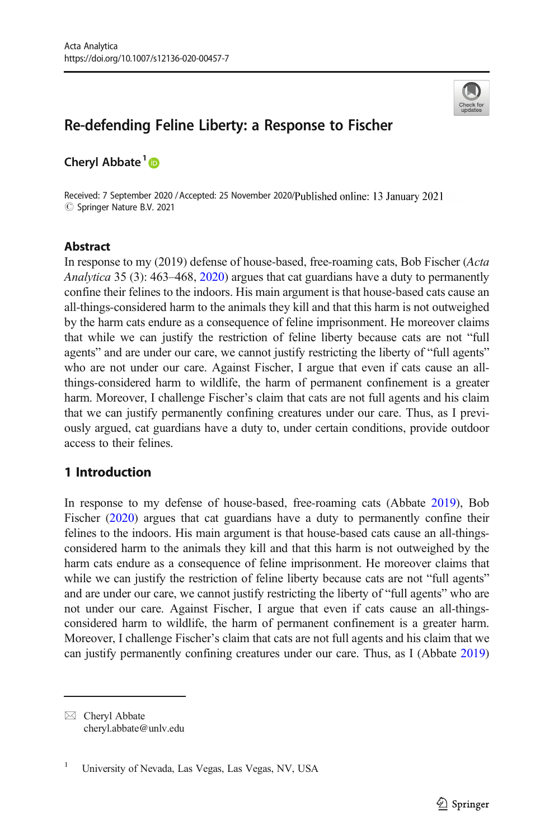

# Re-defending Feline Liberty: a Response to Fischer

Cheryl Abbate<sup>1</sup>

Received: 7 September 2020 / Accepted: 25 November 2020/Published online: 13 January 2021  $\circledcirc$  Springer Nature B.V. 2021

# **Abstract**

In response to my (2019) defense of house-based, free-roaming cats, Bob Fischer (Acta Analytica 35 (3): 463–468, [2020](#page-12-0)) argues that cat guardians have a duty to permanently confine their felines to the indoors. His main argument is that house-based cats cause an all-things-considered harm to the animals they kill and that this harm is not outweighed by the harm cats endure as a consequence of feline imprisonment. He moreover claims that while we can justify the restriction of feline liberty because cats are not "full agents" and are under our care, we cannot justify restricting the liberty of "full agents" who are not under our care. Against Fischer, I argue that even if cats cause an allthings-considered harm to wildlife, the harm of permanent confinement is a greater harm. Moreover, I challenge Fischer's claim that cats are not full agents and his claim that we can justify permanently confining creatures under our care. Thus, as I previously argued, cat guardians have a duty to, under certain conditions, provide outdoor access to their felines.

# 1 Introduction

In response to my defense of house-based, free-roaming cats (Abbate [2019\)](#page-11-0), Bob Fischer ([2020](#page-12-0)) argues that cat guardians have a duty to permanently confine their felines to the indoors. His main argument is that house-based cats cause an all-thingsconsidered harm to the animals they kill and that this harm is not outweighed by the harm cats endure as a consequence of feline imprisonment. He moreover claims that while we can justify the restriction of feline liberty because cats are not "full agents" and are under our care, we cannot justify restricting the liberty of "full agents" who are not under our care. Against Fischer, I argue that even if cats cause an all-thingsconsidered harm to wildlife, the harm of permanent confinement is a greater harm. Moreover, I challenge Fischer's claim that cats are not full agents and his claim that we can justify permanently confining creatures under our care. Thus, as I (Abbate [2019](#page-11-0))

 $\boxtimes$  Cheryl Abbate [cheryl.abbate@unlv.edu](mailto:cheryl.abbate@unlv.edu)

<sup>&</sup>lt;sup>1</sup> University of Nevada, Las Vegas, Las Vegas, NV, USA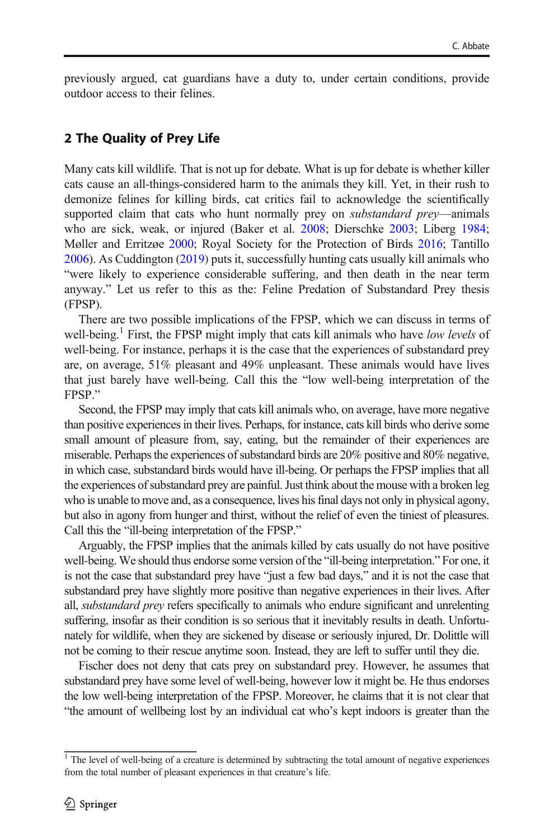previously argued, cat guardians have a duty to, under certain conditions, provide outdoor access to their felines.

# 2 The Quality of Prey Life

Many cats kill wildlife. That is not up for debate. What is up for debate is whether killer cats cause an all-things-considered harm to the animals they kill. Yet, in their rush to demonize felines for killing birds, cat critics fail to acknowledge the scientifically supported claim that cats who hunt normally prey on *substandard prey*—animals who are sick, weak, or injured (Baker et al. [2008](#page-11-0); Dierschke [2003;](#page-12-0) Liberg [1984;](#page-12-0) Møller and Erritzøe [2000;](#page-12-0) Royal Society for the Protection of Birds [2016](#page-12-0); Tantillo [2006\)](#page-12-0). As Cuddington ([2019](#page-12-0)) puts it, successfully hunting cats usually kill animals who "were likely to experience considerable suffering, and then death in the near term anyway." Let us refer to this as the: Feline Predation of Substandard Prey thesis (FPSP).

There are two possible implications of the FPSP, which we can discuss in terms of well-being.<sup>1</sup> First, the FPSP might imply that cats kill animals who have low levels of well-being. For instance, perhaps it is the case that the experiences of substandard prey are, on average, 51% pleasant and 49% unpleasant. These animals would have lives that just barely have well-being. Call this the "low well-being interpretation of the FPSP."

Second, the FPSP may imply that cats kill animals who, on average, have more negative than positive experiences in their lives. Perhaps, for instance, cats kill birds who derive some small amount of pleasure from, say, eating, but the remainder of their experiences are miserable. Perhaps the experiences of substandard birds are 20% positive and 80% negative, in which case, substandard birds would have ill-being. Or perhaps the FPSP implies that all the experiences of substandard prey are painful. Just think about the mouse with a broken leg who is unable to move and, as a consequence, lives his final days not only in physical agony, but also in agony from hunger and thirst, without the relief of even the tiniest of pleasures. Call this the "ill-being interpretation of the FPSP."

Arguably, the FPSP implies that the animals killed by cats usually do not have positive well-being. We should thus endorse some version of the "ill-being interpretation." For one, it is not the case that substandard prey have "just a few bad days," and it is not the case that substandard prey have slightly more positive than negative experiences in their lives. After all, substandard prey refers specifically to animals who endure significant and unrelenting suffering, insofar as their condition is so serious that it inevitably results in death. Unfortunately for wildlife, when they are sickened by disease or seriously injured, Dr. Dolittle will not be coming to their rescue anytime soon. Instead, they are left to suffer until they die.

Fischer does not deny that cats prey on substandard prey. However, he assumes that substandard prey have some level of well-being, however low it might be. He thus endorses the low well-being interpretation of the FPSP. Moreover, he claims that it is not clear that "the amount of wellbeing lost by an individual cat who's kept indoors is greater than the

 $1$  The level of well-being of a creature is determined by subtracting the total amount of negative experiences from the total number of pleasant experiences in that creature's life.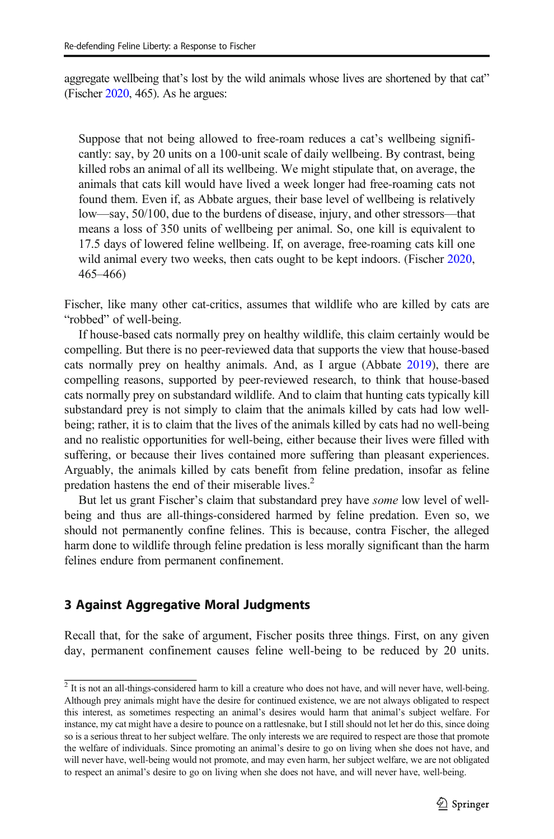aggregate wellbeing that's lost by the wild animals whose lives are shortened by that cat" (Fischer [2020](#page-12-0), 465). As he argues:

Suppose that not being allowed to free-roam reduces a cat's wellbeing significantly: say, by 20 units on a 100-unit scale of daily wellbeing. By contrast, being killed robs an animal of all its wellbeing. We might stipulate that, on average, the animals that cats kill would have lived a week longer had free-roaming cats not found them. Even if, as Abbate argues, their base level of wellbeing is relatively low—say, 50/100, due to the burdens of disease, injury, and other stressors—that means a loss of 350 units of wellbeing per animal. So, one kill is equivalent to 17.5 days of lowered feline wellbeing. If, on average, free-roaming cats kill one wild animal every two weeks, then cats ought to be kept indoors. (Fischer [2020,](#page-12-0) 465–466)

Fischer, like many other cat-critics, assumes that wildlife who are killed by cats are "robbed" of well-being.

If house-based cats normally prey on healthy wildlife, this claim certainly would be compelling. But there is no peer-reviewed data that supports the view that house-based cats normally prey on healthy animals. And, as I argue (Abbate [2019\)](#page-11-0), there are compelling reasons, supported by peer-reviewed research, to think that house-based cats normally prey on substandard wildlife. And to claim that hunting cats typically kill substandard prey is not simply to claim that the animals killed by cats had low wellbeing; rather, it is to claim that the lives of the animals killed by cats had no well-being and no realistic opportunities for well-being, either because their lives were filled with suffering, or because their lives contained more suffering than pleasant experiences. Arguably, the animals killed by cats benefit from feline predation, insofar as feline predation hastens the end of their miserable lives.<sup>2</sup>

But let us grant Fischer's claim that substandard prey have some low level of wellbeing and thus are all-things-considered harmed by feline predation. Even so, we should not permanently confine felines. This is because, contra Fischer, the alleged harm done to wildlife through feline predation is less morally significant than the harm felines endure from permanent confinement.

# 3 Against Aggregative Moral Judgments

Recall that, for the sake of argument, Fischer posits three things. First, on any given day, permanent confinement causes feline well-being to be reduced by 20 units.

 $\frac{1}{2}$  It is not an all-things-considered harm to kill a creature who does not have, and will never have, well-being. Although prey animals might have the desire for continued existence, we are not always obligated to respect this interest, as sometimes respecting an animal's desires would harm that animal's subject welfare. For instance, my cat might have a desire to pounce on a rattlesnake, but I still should not let her do this, since doing so is a serious threat to her subject welfare. The only interests we are required to respect are those that promote the welfare of individuals. Since promoting an animal's desire to go on living when she does not have, and will never have, well-being would not promote, and may even harm, her subject welfare, we are not obligated to respect an animal's desire to go on living when she does not have, and will never have, well-being.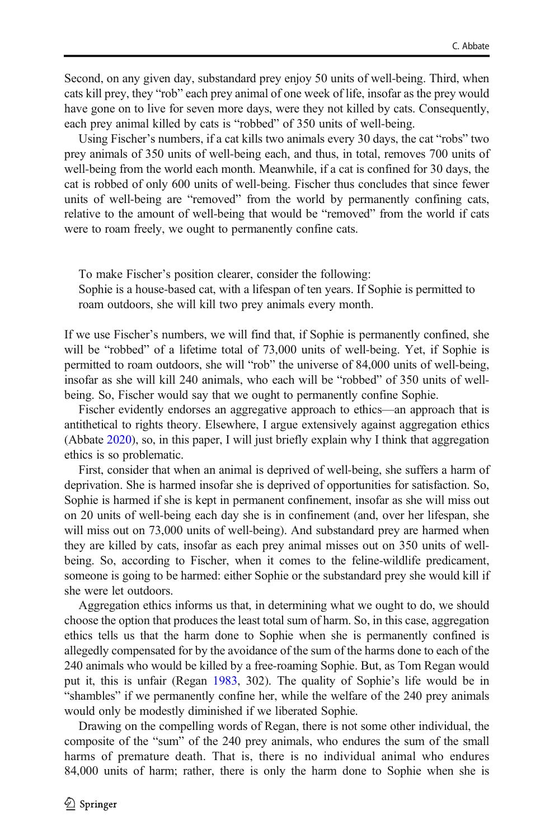Second, on any given day, substandard prey enjoy 50 units of well-being. Third, when cats kill prey, they "rob" each prey animal of one week of life, insofar as the prey would have gone on to live for seven more days, were they not killed by cats. Consequently, each prey animal killed by cats is "robbed" of 350 units of well-being.

Using Fischer's numbers, if a cat kills two animals every 30 days, the cat "robs" two prey animals of 350 units of well-being each, and thus, in total, removes 700 units of well-being from the world each month. Meanwhile, if a cat is confined for 30 days, the cat is robbed of only 600 units of well-being. Fischer thus concludes that since fewer units of well-being are "removed" from the world by permanently confining cats, relative to the amount of well-being that would be "removed" from the world if cats were to roam freely, we ought to permanently confine cats.

To make Fischer's position clearer, consider the following: Sophie is a house-based cat, with a lifespan of ten years. If Sophie is permitted to roam outdoors, she will kill two prey animals every month.

If we use Fischer's numbers, we will find that, if Sophie is permanently confined, she will be "robbed" of a lifetime total of 73,000 units of well-being. Yet, if Sophie is permitted to roam outdoors, she will "rob" the universe of 84,000 units of well-being, insofar as she will kill 240 animals, who each will be "robbed" of 350 units of wellbeing. So, Fischer would say that we ought to permanently confine Sophie.

Fischer evidently endorses an aggregative approach to ethics—an approach that is antithetical to rights theory. Elsewhere, I argue extensively against aggregation ethics (Abbate [2020](#page-11-0)), so, in this paper, I will just briefly explain why I think that aggregation ethics is so problematic.

First, consider that when an animal is deprived of well-being, she suffers a harm of deprivation. She is harmed insofar she is deprived of opportunities for satisfaction. So, Sophie is harmed if she is kept in permanent confinement, insofar as she will miss out on 20 units of well-being each day she is in confinement (and, over her lifespan, she will miss out on 73,000 units of well-being). And substandard prey are harmed when they are killed by cats, insofar as each prey animal misses out on 350 units of wellbeing. So, according to Fischer, when it comes to the feline-wildlife predicament, someone is going to be harmed: either Sophie or the substandard prey she would kill if she were let outdoors.

Aggregation ethics informs us that, in determining what we ought to do, we should choose the option that produces the least total sum of harm. So, in this case, aggregation ethics tells us that the harm done to Sophie when she is permanently confined is allegedly compensated for by the avoidance of the sum of the harms done to each of the 240 animals who would be killed by a free-roaming Sophie. But, as Tom Regan would put it, this is unfair (Regan [1983](#page-12-0), 302). The quality of Sophie's life would be in "shambles" if we permanently confine her, while the welfare of the 240 prey animals would only be modestly diminished if we liberated Sophie.

Drawing on the compelling words of Regan, there is not some other individual, the composite of the "sum" of the 240 prey animals, who endures the sum of the small harms of premature death. That is, there is no individual animal who endures 84,000 units of harm; rather, there is only the harm done to Sophie when she is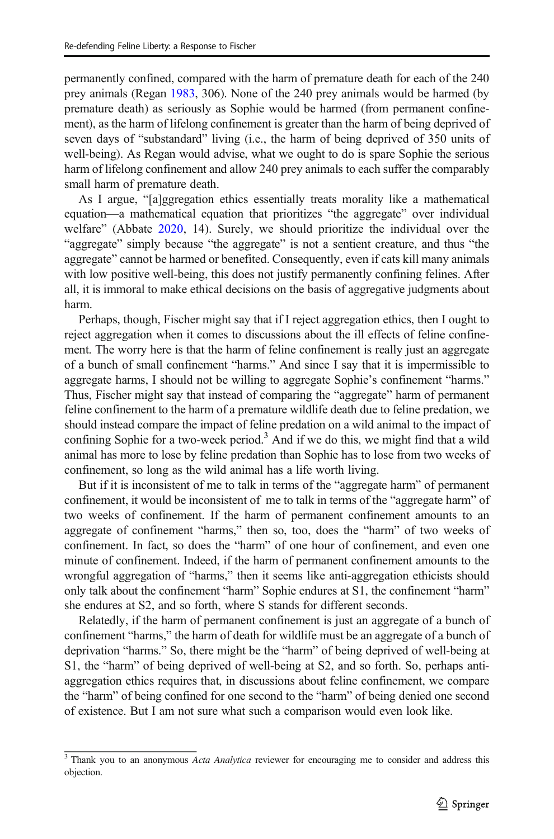permanently confined, compared with the harm of premature death for each of the 240 prey animals (Regan [1983,](#page-12-0) 306). None of the 240 prey animals would be harmed (by premature death) as seriously as Sophie would be harmed (from permanent confinement), as the harm of lifelong confinement is greater than the harm of being deprived of seven days of "substandard" living (i.e., the harm of being deprived of 350 units of well-being). As Regan would advise, what we ought to do is spare Sophie the serious harm of lifelong confinement and allow 240 prey animals to each suffer the comparably small harm of premature death.

As I argue, "[a]ggregation ethics essentially treats morality like a mathematical equation—a mathematical equation that prioritizes "the aggregate" over individual welfare" (Abbate [2020](#page-11-0), 14). Surely, we should prioritize the individual over the "aggregate" simply because "the aggregate" is not a sentient creature, and thus "the aggregate" cannot be harmed or benefited. Consequently, even if cats kill many animals with low positive well-being, this does not justify permanently confining felines. After all, it is immoral to make ethical decisions on the basis of aggregative judgments about harm.

Perhaps, though, Fischer might say that if I reject aggregation ethics, then I ought to reject aggregation when it comes to discussions about the ill effects of feline confinement. The worry here is that the harm of feline confinement is really just an aggregate of a bunch of small confinement "harms." And since I say that it is impermissible to aggregate harms, I should not be willing to aggregate Sophie's confinement "harms." Thus, Fischer might say that instead of comparing the "aggregate" harm of permanent feline confinement to the harm of a premature wildlife death due to feline predation, we should instead compare the impact of feline predation on a wild animal to the impact of confining Sophie for a two-week period.<sup>3</sup> And if we do this, we might find that a wild animal has more to lose by feline predation than Sophie has to lose from two weeks of confinement, so long as the wild animal has a life worth living.

But if it is inconsistent of me to talk in terms of the "aggregate harm" of permanent confinement, it would be inconsistent of me to talk in terms of the "aggregate harm" of two weeks of confinement. If the harm of permanent confinement amounts to an aggregate of confinement "harms," then so, too, does the "harm" of two weeks of confinement. In fact, so does the "harm" of one hour of confinement, and even one minute of confinement. Indeed, if the harm of permanent confinement amounts to the wrongful aggregation of "harms," then it seems like anti-aggregation ethicists should only talk about the confinement "harm" Sophie endures at S1, the confinement "harm" she endures at S2, and so forth, where S stands for different seconds.

Relatedly, if the harm of permanent confinement is just an aggregate of a bunch of confinement "harms," the harm of death for wildlife must be an aggregate of a bunch of deprivation "harms." So, there might be the "harm" of being deprived of well-being at S1, the "harm" of being deprived of well-being at S2, and so forth. So, perhaps antiaggregation ethics requires that, in discussions about feline confinement, we compare the "harm" of being confined for one second to the "harm" of being denied one second of existence. But I am not sure what such a comparison would even look like.

<sup>&</sup>lt;sup>3</sup> Thank you to an anonymous Acta Analytica reviewer for encouraging me to consider and address this objection.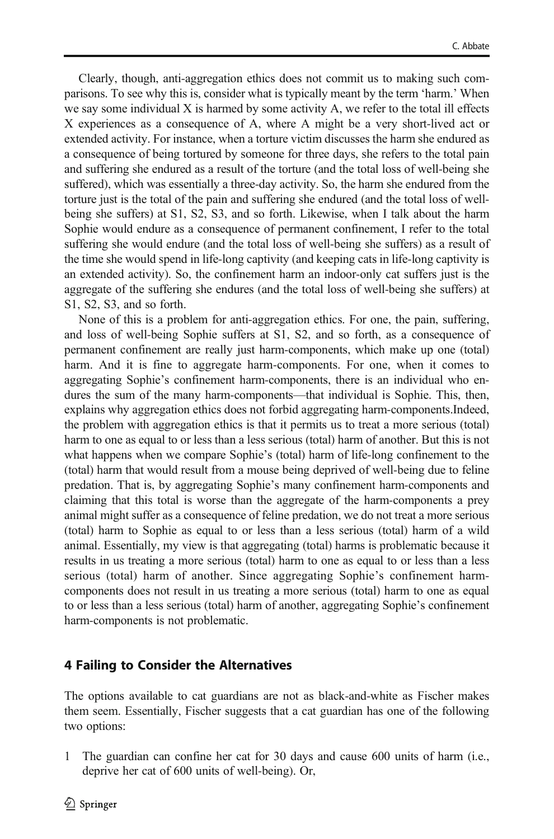Clearly, though, anti-aggregation ethics does not commit us to making such comparisons. To see why this is, consider what is typically meant by the term 'harm.' When we say some individual X is harmed by some activity A, we refer to the total ill effects X experiences as a consequence of A, where A might be a very short-lived act or extended activity. For instance, when a torture victim discusses the harm she endured as a consequence of being tortured by someone for three days, she refers to the total pain and suffering she endured as a result of the torture (and the total loss of well-being she suffered), which was essentially a three-day activity. So, the harm she endured from the torture just is the total of the pain and suffering she endured (and the total loss of wellbeing she suffers) at S1, S2, S3, and so forth. Likewise, when I talk about the harm Sophie would endure as a consequence of permanent confinement, I refer to the total suffering she would endure (and the total loss of well-being she suffers) as a result of the time she would spend in life-long captivity (and keeping cats in life-long captivity is an extended activity). So, the confinement harm an indoor-only cat suffers just is the aggregate of the suffering she endures (and the total loss of well-being she suffers) at S1, S2, S3, and so forth.

None of this is a problem for anti-aggregation ethics. For one, the pain, suffering, and loss of well-being Sophie suffers at S1, S2, and so forth, as a consequence of permanent confinement are really just harm-components, which make up one (total) harm. And it is fine to aggregate harm-components. For one, when it comes to aggregating Sophie's confinement harm-components, there is an individual who endures the sum of the many harm-components—that individual is Sophie. This, then, explains why aggregation ethics does not forbid aggregating harm-components.Indeed, the problem with aggregation ethics is that it permits us to treat a more serious (total) harm to one as equal to or less than a less serious (total) harm of another. But this is not what happens when we compare Sophie's (total) harm of life-long confinement to the (total) harm that would result from a mouse being deprived of well-being due to feline predation. That is, by aggregating Sophie's many confinement harm-components and claiming that this total is worse than the aggregate of the harm-components a prey animal might suffer as a consequence of feline predation, we do not treat a more serious (total) harm to Sophie as equal to or less than a less serious (total) harm of a wild animal. Essentially, my view is that aggregating (total) harms is problematic because it results in us treating a more serious (total) harm to one as equal to or less than a less serious (total) harm of another. Since aggregating Sophie's confinement harmcomponents does not result in us treating a more serious (total) harm to one as equal to or less than a less serious (total) harm of another, aggregating Sophie's confinement harm-components is not problematic.

# 4 Failing to Consider the Alternatives

The options available to cat guardians are not as black-and-white as Fischer makes them seem. Essentially, Fischer suggests that a cat guardian has one of the following two options:

1 The guardian can confine her cat for 30 days and cause 600 units of harm (i.e., deprive her cat of 600 units of well-being). Or,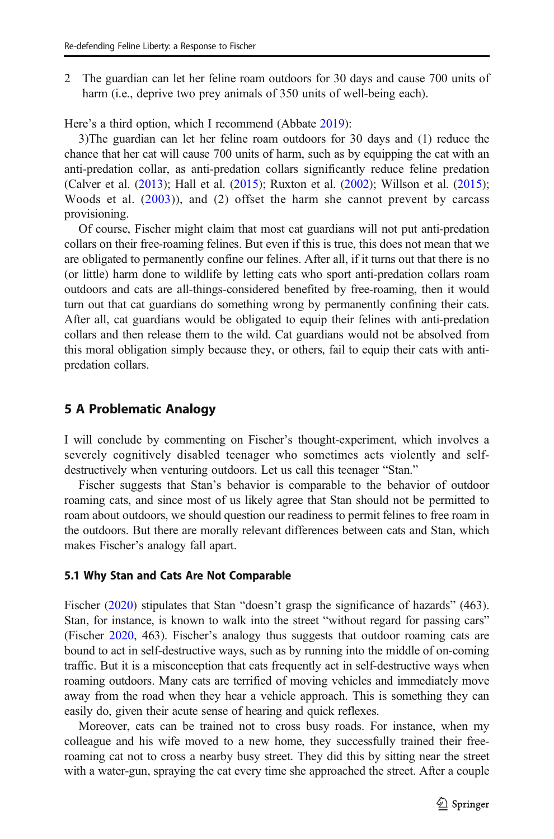2 The guardian can let her feline roam outdoors for 30 days and cause 700 units of harm (*i.e.*, deprive two prey animals of 350 units of well-being each).

Here's a third option, which I recommend (Abbate [2019](#page-11-0)):

3)The guardian can let her feline roam outdoors for 30 days and (1) reduce the chance that her cat will cause 700 units of harm, such as by equipping the cat with an anti-predation collar, as anti-predation collars significantly reduce feline predation (Calver et al. [\(2013\)](#page-11-0); Hall et al. ([2015](#page-12-0)); Ruxton et al. [\(2002\)](#page-12-0); Willson et al. [\(2015\)](#page-12-0); Woods et al.  $(2003)$ , and  $(2)$  offset the harm she cannot prevent by carcass provisioning.

Of course, Fischer might claim that most cat guardians will not put anti-predation collars on their free-roaming felines. But even if this is true, this does not mean that we are obligated to permanently confine our felines. After all, if it turns out that there is no (or little) harm done to wildlife by letting cats who sport anti-predation collars roam outdoors and cats are all-things-considered benefited by free-roaming, then it would turn out that cat guardians do something wrong by permanently confining their cats. After all, cat guardians would be obligated to equip their felines with anti-predation collars and then release them to the wild. Cat guardians would not be absolved from this moral obligation simply because they, or others, fail to equip their cats with antipredation collars.

#### 5 A Problematic Analogy

I will conclude by commenting on Fischer's thought-experiment, which involves a severely cognitively disabled teenager who sometimes acts violently and selfdestructively when venturing outdoors. Let us call this teenager "Stan."

Fischer suggests that Stan's behavior is comparable to the behavior of outdoor roaming cats, and since most of us likely agree that Stan should not be permitted to roam about outdoors, we should question our readiness to permit felines to free roam in the outdoors. But there are morally relevant differences between cats and Stan, which makes Fischer's analogy fall apart.

#### 5.1 Why Stan and Cats Are Not Comparable

Fischer [\(2020\)](#page-12-0) stipulates that Stan "doesn't grasp the significance of hazards" (463). Stan, for instance, is known to walk into the street "without regard for passing cars" (Fischer [2020](#page-12-0), 463). Fischer's analogy thus suggests that outdoor roaming cats are bound to act in self-destructive ways, such as by running into the middle of on-coming traffic. But it is a misconception that cats frequently act in self-destructive ways when roaming outdoors. Many cats are terrified of moving vehicles and immediately move away from the road when they hear a vehicle approach. This is something they can easily do, given their acute sense of hearing and quick reflexes.

Moreover, cats can be trained not to cross busy roads. For instance, when my colleague and his wife moved to a new home, they successfully trained their freeroaming cat not to cross a nearby busy street. They did this by sitting near the street with a water-gun, spraying the cat every time she approached the street. After a couple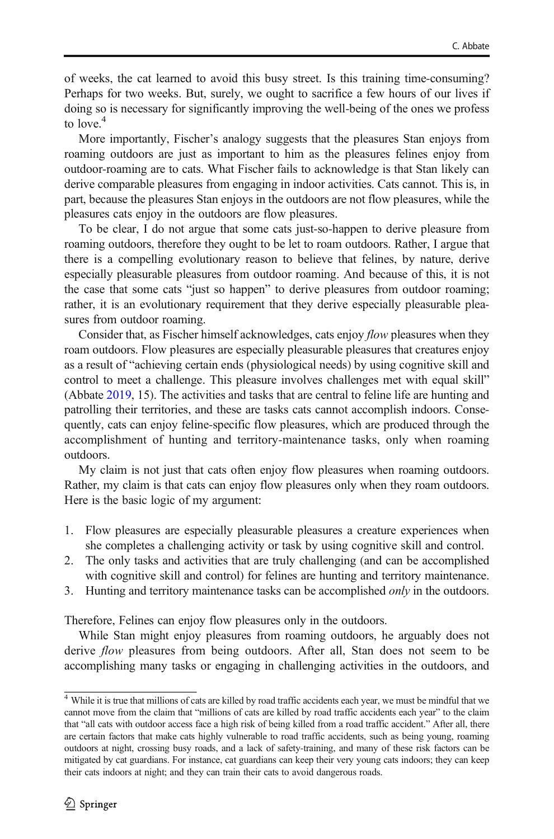of weeks, the cat learned to avoid this busy street. Is this training time-consuming? Perhaps for two weeks. But, surely, we ought to sacrifice a few hours of our lives if doing so is necessary for significantly improving the well-being of the ones we profess to love  $4$ 

More importantly, Fischer's analogy suggests that the pleasures Stan enjoys from roaming outdoors are just as important to him as the pleasures felines enjoy from outdoor-roaming are to cats. What Fischer fails to acknowledge is that Stan likely can derive comparable pleasures from engaging in indoor activities. Cats cannot. This is, in part, because the pleasures Stan enjoys in the outdoors are not flow pleasures, while the pleasures cats enjoy in the outdoors are flow pleasures.

To be clear, I do not argue that some cats just-so-happen to derive pleasure from roaming outdoors, therefore they ought to be let to roam outdoors. Rather, I argue that there is a compelling evolutionary reason to believe that felines, by nature, derive especially pleasurable pleasures from outdoor roaming. And because of this, it is not the case that some cats "just so happen" to derive pleasures from outdoor roaming; rather, it is an evolutionary requirement that they derive especially pleasurable pleasures from outdoor roaming.

Consider that, as Fischer himself acknowledges, cats enjoy *flow* pleasures when they roam outdoors. Flow pleasures are especially pleasurable pleasures that creatures enjoy as a result of "achieving certain ends (physiological needs) by using cognitive skill and control to meet a challenge. This pleasure involves challenges met with equal skill" (Abbate [2019](#page-11-0), 15). The activities and tasks that are central to feline life are hunting and patrolling their territories, and these are tasks cats cannot accomplish indoors. Consequently, cats can enjoy feline-specific flow pleasures, which are produced through the accomplishment of hunting and territory-maintenance tasks, only when roaming outdoors.

My claim is not just that cats often enjoy flow pleasures when roaming outdoors. Rather, my claim is that cats can enjoy flow pleasures only when they roam outdoors. Here is the basic logic of my argument:

- 1. Flow pleasures are especially pleasurable pleasures a creature experiences when she completes a challenging activity or task by using cognitive skill and control.
- 2. The only tasks and activities that are truly challenging (and can be accomplished with cognitive skill and control) for felines are hunting and territory maintenance.
- 3. Hunting and territory maintenance tasks can be accomplished only in the outdoors.

Therefore, Felines can enjoy flow pleasures only in the outdoors.

While Stan might enjoy pleasures from roaming outdoors, he arguably does not derive *flow* pleasures from being outdoors. After all, Stan does not seem to be accomplishing many tasks or engaging in challenging activities in the outdoors, and

<sup>&</sup>lt;sup>4</sup> While it is true that millions of cats are killed by road traffic accidents each year, we must be mindful that we cannot move from the claim that "millions of cats are killed by road traffic accidents each year" to the claim that "all cats with outdoor access face a high risk of being killed from a road traffic accident." After all, there are certain factors that make cats highly vulnerable to road traffic accidents, such as being young, roaming outdoors at night, crossing busy roads, and a lack of safety-training, and many of these risk factors can be mitigated by cat guardians. For instance, cat guardians can keep their very young cats indoors; they can keep their cats indoors at night; and they can train their cats to avoid dangerous roads.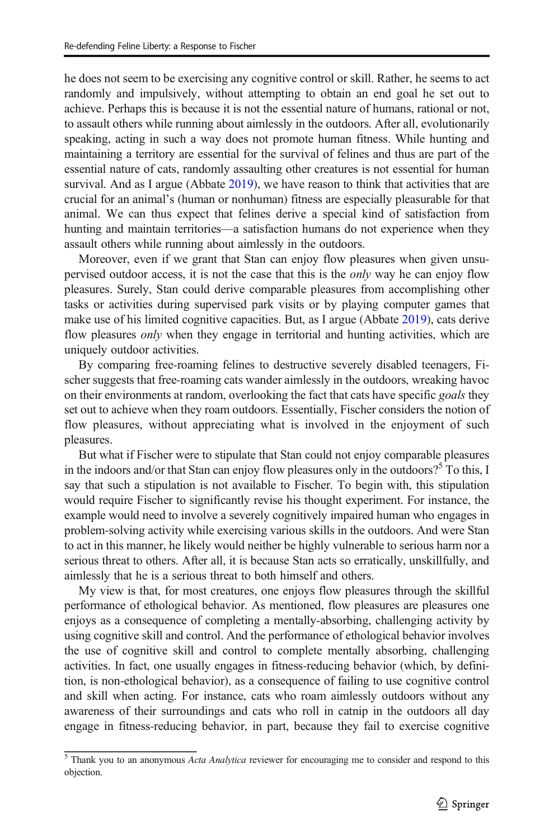he does not seem to be exercising any cognitive control or skill. Rather, he seems to act randomly and impulsively, without attempting to obtain an end goal he set out to achieve. Perhaps this is because it is not the essential nature of humans, rational or not, to assault others while running about aimlessly in the outdoors. After all, evolutionarily speaking, acting in such a way does not promote human fitness. While hunting and maintaining a territory are essential for the survival of felines and thus are part of the essential nature of cats, randomly assaulting other creatures is not essential for human survival. And as I argue (Abbate [2019\)](#page-11-0), we have reason to think that activities that are crucial for an animal's (human or nonhuman) fitness are especially pleasurable for that animal. We can thus expect that felines derive a special kind of satisfaction from hunting and maintain territories—a satisfaction humans do not experience when they assault others while running about aimlessly in the outdoors.

Moreover, even if we grant that Stan can enjoy flow pleasures when given unsupervised outdoor access, it is not the case that this is the *only* way he can enjoy flow pleasures. Surely, Stan could derive comparable pleasures from accomplishing other tasks or activities during supervised park visits or by playing computer games that make use of his limited cognitive capacities. But, as I argue (Abbate [2019\)](#page-11-0), cats derive flow pleasures *only* when they engage in territorial and hunting activities, which are uniquely outdoor activities.

By comparing free-roaming felines to destructive severely disabled teenagers, Fischer suggests that free-roaming cats wander aimlessly in the outdoors, wreaking havoc on their environments at random, overlooking the fact that cats have specific *goals* they set out to achieve when they roam outdoors. Essentially, Fischer considers the notion of flow pleasures, without appreciating what is involved in the enjoyment of such pleasures.

But what if Fischer were to stipulate that Stan could not enjoy comparable pleasures in the indoors and/or that Stan can enjoy flow pleasures only in the outdoors?<sup>5</sup> To this, I say that such a stipulation is not available to Fischer. To begin with, this stipulation would require Fischer to significantly revise his thought experiment. For instance, the example would need to involve a severely cognitively impaired human who engages in problem-solving activity while exercising various skills in the outdoors. And were Stan to act in this manner, he likely would neither be highly vulnerable to serious harm nor a serious threat to others. After all, it is because Stan acts so erratically, unskillfully, and aimlessly that he is a serious threat to both himself and others.

My view is that, for most creatures, one enjoys flow pleasures through the skillful performance of ethological behavior. As mentioned, flow pleasures are pleasures one enjoys as a consequence of completing a mentally-absorbing, challenging activity by using cognitive skill and control. And the performance of ethological behavior involves the use of cognitive skill and control to complete mentally absorbing, challenging activities. In fact, one usually engages in fitness-reducing behavior (which, by definition, is non-ethological behavior), as a consequence of failing to use cognitive control and skill when acting. For instance, cats who roam aimlessly outdoors without any awareness of their surroundings and cats who roll in catnip in the outdoors all day engage in fitness-reducing behavior, in part, because they fail to exercise cognitive

 $5$  Thank you to an anonymous Acta Analytica reviewer for encouraging me to consider and respond to this objection.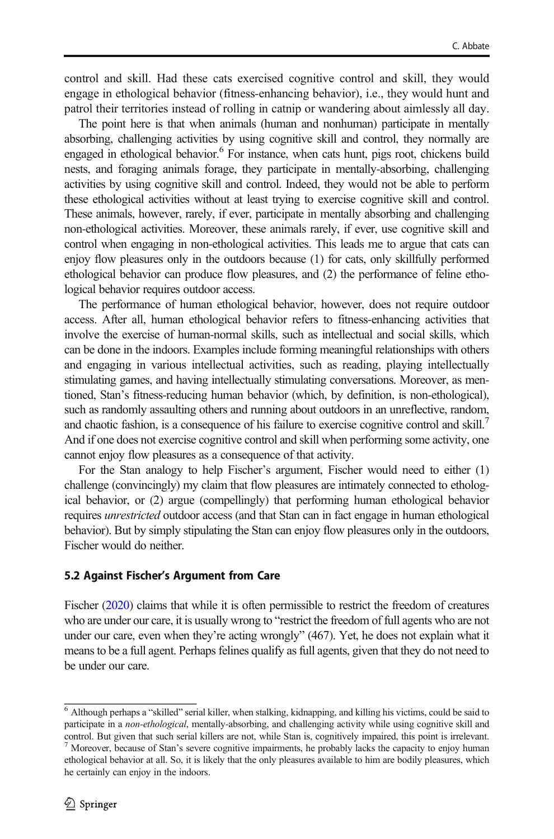control and skill. Had these cats exercised cognitive control and skill, they would engage in ethological behavior (fitness-enhancing behavior), i.e., they would hunt and patrol their territories instead of rolling in catnip or wandering about aimlessly all day.

The point here is that when animals (human and nonhuman) participate in mentally absorbing, challenging activities by using cognitive skill and control, they normally are engaged in ethological behavior.<sup>6</sup> For instance, when cats hunt, pigs root, chickens build nests, and foraging animals forage, they participate in mentally-absorbing, challenging activities by using cognitive skill and control. Indeed, they would not be able to perform these ethological activities without at least trying to exercise cognitive skill and control. These animals, however, rarely, if ever, participate in mentally absorbing and challenging non-ethological activities. Moreover, these animals rarely, if ever, use cognitive skill and control when engaging in non-ethological activities. This leads me to argue that cats can enjoy flow pleasures only in the outdoors because (1) for cats, only skillfully performed ethological behavior can produce flow pleasures, and (2) the performance of feline ethological behavior requires outdoor access.

The performance of human ethological behavior, however, does not require outdoor access. After all, human ethological behavior refers to fitness-enhancing activities that involve the exercise of human-normal skills, such as intellectual and social skills, which can be done in the indoors. Examples include forming meaningful relationships with others and engaging in various intellectual activities, such as reading, playing intellectually stimulating games, and having intellectually stimulating conversations. Moreover, as mentioned, Stan's fitness-reducing human behavior (which, by definition, is non-ethological), such as randomly assaulting others and running about outdoors in an unreflective, random, and chaotic fashion, is a consequence of his failure to exercise cognitive control and skill.<sup>7</sup> And if one does not exercise cognitive control and skill when performing some activity, one cannot enjoy flow pleasures as a consequence of that activity.

For the Stan analogy to help Fischer's argument, Fischer would need to either (1) challenge (convincingly) my claim that flow pleasures are intimately connected to ethological behavior, or (2) argue (compellingly) that performing human ethological behavior requires unrestricted outdoor access (and that Stan can in fact engage in human ethological behavior). But by simply stipulating the Stan can enjoy flow pleasures only in the outdoors, Fischer would do neither.

#### 5.2 Against Fischer's Argument from Care

Fischer [\(2020\)](#page-12-0) claims that while it is often permissible to restrict the freedom of creatures who are under our care, it is usually wrong to "restrict the freedom of full agents who are not under our care, even when they're acting wrongly" (467). Yet, he does not explain what it means to be a full agent. Perhaps felines qualify as full agents, given that they do not need to be under our care.

<sup>6</sup> Although perhaps a "skilled" serial killer, when stalking, kidnapping, and killing his victims, could be said to participate in a non-ethological, mentally-absorbing, and challenging activity while using cognitive skill and control. But given that such serial killers are not, while Stan is, cognitively impaired, this point is irrelevant. <sup>7</sup> Moreover, because of Stan's severe cognitive impairments, he probably lacks the capacity to enjoy human ethological behavior at all. So, it is likely that the only pleasures available to him are bodily pleasures, which he certainly can enjoy in the indoors.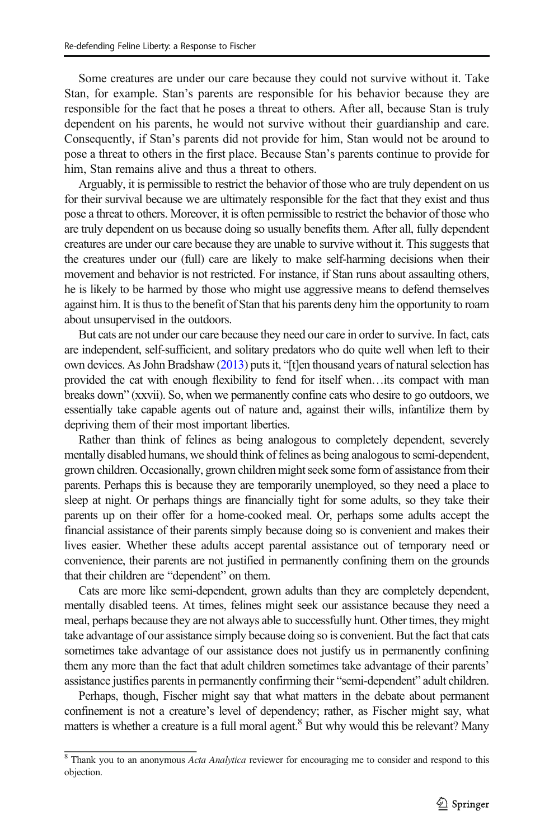Some creatures are under our care because they could not survive without it. Take Stan, for example. Stan's parents are responsible for his behavior because they are responsible for the fact that he poses a threat to others. After all, because Stan is truly dependent on his parents, he would not survive without their guardianship and care. Consequently, if Stan's parents did not provide for him, Stan would not be around to pose a threat to others in the first place. Because Stan's parents continue to provide for him, Stan remains alive and thus a threat to others.

Arguably, it is permissible to restrict the behavior of those who are truly dependent on us for their survival because we are ultimately responsible for the fact that they exist and thus pose a threat to others. Moreover, it is often permissible to restrict the behavior of those who are truly dependent on us because doing so usually benefits them. After all, fully dependent creatures are under our care because they are unable to survive without it. This suggests that the creatures under our (full) care are likely to make self-harming decisions when their movement and behavior is not restricted. For instance, if Stan runs about assaulting others, he is likely to be harmed by those who might use aggressive means to defend themselves against him. It is thus to the benefit of Stan that his parents deny him the opportunity to roam about unsupervised in the outdoors.

But cats are not under our care because they need our care in order to survive. In fact, cats are independent, self-sufficient, and solitary predators who do quite well when left to their own devices. As John Bradshaw [\(2013\)](#page-11-0) puts it, "[t]en thousand years of natural selection has provided the cat with enough flexibility to fend for itself when…its compact with man breaks down" (xxvii). So, when we permanently confine cats who desire to go outdoors, we essentially take capable agents out of nature and, against their wills, infantilize them by depriving them of their most important liberties.

Rather than think of felines as being analogous to completely dependent, severely mentally disabled humans, we should think of felines as being analogous to semi-dependent, grown children. Occasionally, grown children might seek some form of assistance from their parents. Perhaps this is because they are temporarily unemployed, so they need a place to sleep at night. Or perhaps things are financially tight for some adults, so they take their parents up on their offer for a home-cooked meal. Or, perhaps some adults accept the financial assistance of their parents simply because doing so is convenient and makes their lives easier. Whether these adults accept parental assistance out of temporary need or convenience, their parents are not justified in permanently confining them on the grounds that their children are "dependent" on them.

Cats are more like semi-dependent, grown adults than they are completely dependent, mentally disabled teens. At times, felines might seek our assistance because they need a meal, perhaps because they are not always able to successfully hunt. Other times, they might take advantage of our assistance simply because doing so is convenient. But the fact that cats sometimes take advantage of our assistance does not justify us in permanently confining them any more than the fact that adult children sometimes take advantage of their parents' assistance justifies parents in permanently confirming their "semi-dependent" adult children.

Perhaps, though, Fischer might say that what matters in the debate about permanent confinement is not a creature's level of dependency; rather, as Fischer might say, what matters is whether a creature is a full moral agent.<sup>8</sup> But why would this be relevant? Many

 $8$  Thank you to an anonymous Acta Analytica reviewer for encouraging me to consider and respond to this objection.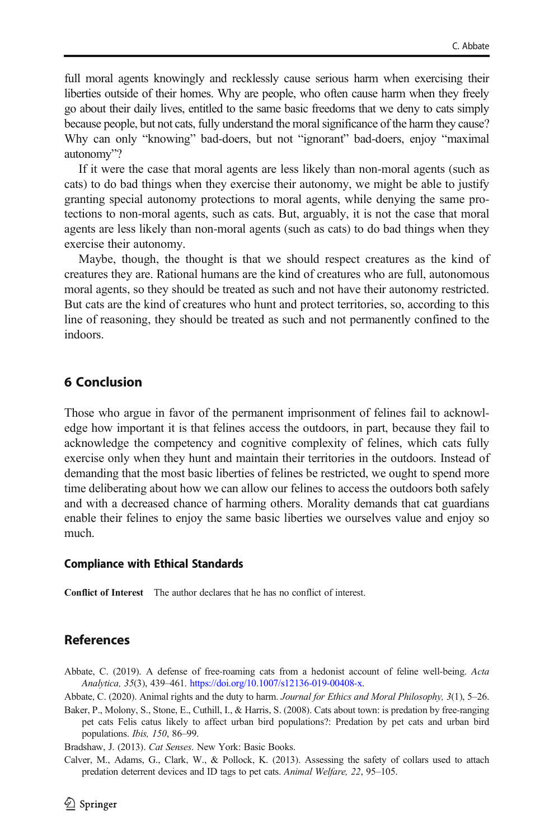<span id="page-11-0"></span>full moral agents knowingly and recklessly cause serious harm when exercising their liberties outside of their homes. Why are people, who often cause harm when they freely go about their daily lives, entitled to the same basic freedoms that we deny to cats simply because people, but not cats, fully understand the moral significance of the harm they cause? Why can only "knowing" bad-doers, but not "ignorant" bad-doers, enjoy "maximal autonomy"?

If it were the case that moral agents are less likely than non-moral agents (such as cats) to do bad things when they exercise their autonomy, we might be able to justify granting special autonomy protections to moral agents, while denying the same protections to non-moral agents, such as cats. But, arguably, it is not the case that moral agents are less likely than non-moral agents (such as cats) to do bad things when they exercise their autonomy.

Maybe, though, the thought is that we should respect creatures as the kind of creatures they are. Rational humans are the kind of creatures who are full, autonomous moral agents, so they should be treated as such and not have their autonomy restricted. But cats are the kind of creatures who hunt and protect territories, so, according to this line of reasoning, they should be treated as such and not permanently confined to the indoors.

# 6 Conclusion

Those who argue in favor of the permanent imprisonment of felines fail to acknowledge how important it is that felines access the outdoors, in part, because they fail to acknowledge the competency and cognitive complexity of felines, which cats fully exercise only when they hunt and maintain their territories in the outdoors. Instead of demanding that the most basic liberties of felines be restricted, we ought to spend more time deliberating about how we can allow our felines to access the outdoors both safely and with a decreased chance of harming others. Morality demands that cat guardians enable their felines to enjoy the same basic liberties we ourselves value and enjoy so much.

#### Compliance with Ethical Standards

Conflict of Interest The author declares that he has no conflict of interest.

# References

Abbate, C. (2019). A defense of free-roaming cats from a hedonist account of feline well-being. Acta Analytica, 35(3), 439–461. <https://doi.org/10.1007/s12136-019-00408-x>.

Abbate, C. (2020). Animal rights and the duty to harm. Journal for Ethics and Moral Philosophy, 3(1), 5–26.

Baker, P., Molony, S., Stone, E., Cuthill, I., & Harris, S. (2008). Cats about town: is predation by free-ranging pet cats Felis catus likely to affect urban bird populations?: Predation by pet cats and urban bird populations. Ibis, 150, 86–99.

Bradshaw, J. (2013). Cat Senses. New York: Basic Books.

Calver, M., Adams, G., Clark, W., & Pollock, K. (2013). Assessing the safety of collars used to attach predation deterrent devices and ID tags to pet cats. Animal Welfare, 22, 95–105.